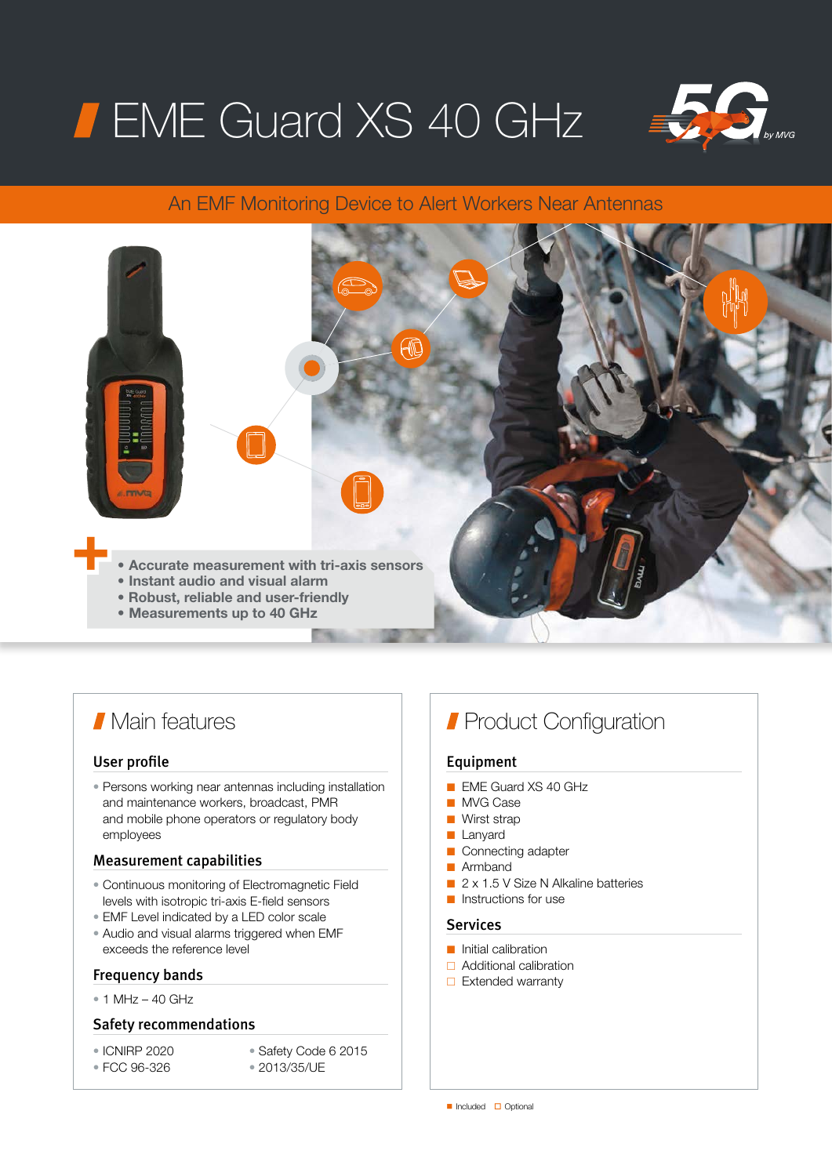# **FIME Guard XS 40 GHz**



# An EMF Monitoring Device to Alert Workers Near Antennas



# **Main features**

### User profile

• Persons working near antennas including installation and maintenance workers, broadcast, PMR and mobile phone operators or regulatory body employees

### Measurement capabilities

- Continuous monitoring of Electromagnetic Field levels with isotropic tri-axis E-field sensors
- EMF Level indicated by a LED color scale
- Audio and visual alarms triggered when EMF exceeds the reference level

# Frequency bands

 $\bullet$  1 MHz – 40 GHz

## Safety recommendations

- ICNIRP 2020
- Safety Code 6 2015
- FCC 96-326
- 2013/35/UE

# **Product Configuration**

# Equipment

- EME Guard XS 40 GHz
- MVG Case
- Wirst strap
- Lanyard
- Connecting adapter
- Armhand
- 2 x 1.5 V Size N Alkaline batteries
- Instructions for use

# Services

- Initial calibration
- □ Additional calibration
- $\Box$  Extended warranty